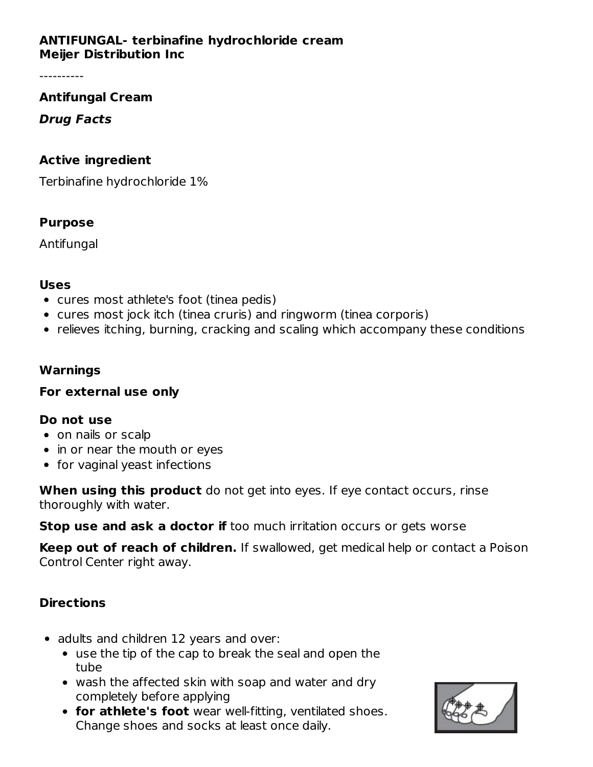### **ANTIFUNGAL- terbinafine hydrochloride cream Meijer Distribution Inc**

## **Antifungal Cream**

## **Drug Facts**

## **Active ingredient**

Terbinafine hydrochloride 1%

## **Purpose**

Antifungal

## **Uses**

- cures most athlete's foot (tinea pedis)
- cures most jock itch (tinea cruris) and ringworm (tinea corporis)
- relieves itching, burning, cracking and scaling which accompany these conditions

## **Warnings**

## **For external use only**

## **Do not use**

- on nails or scalp
- in or near the mouth or eyes
- for vaginal yeast infections

**When using this product** do not get into eyes. If eye contact occurs, rinse thoroughly with water.

**Stop use and ask a doctor if** too much irritation occurs or gets worse

**Keep out of reach of children.** If swallowed, get medical help or contact a Poison Control Center right away.

## **Directions**

- adults and children 12 years and over:
	- use the tip of the cap to break the seal and open the tube
	- wash the affected skin with soap and water and dry completely before applying
	- **for athlete's foot** wear well-fitting, ventilated shoes. Change shoes and socks at least once daily.

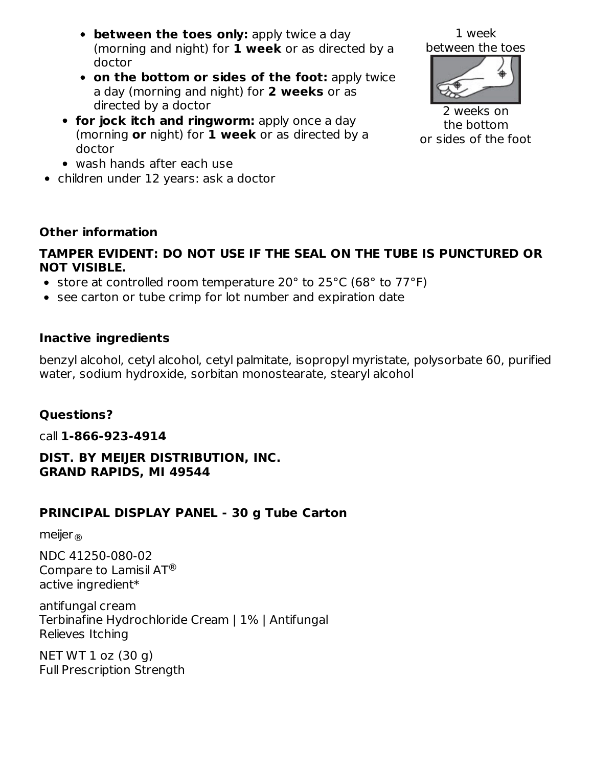- **between the toes only:** apply twice a day (morning and night) for **1 week** or as directed by a doctor
- **on the bottom or sides of the foot:** apply twice a day (morning and night) for **2 weeks** or as directed by a doctor
- **for jock itch and ringworm:** apply once a day (morning **or** night) for **1 week** or as directed by a doctor
- wash hands after each use
- children under 12 years: ask a doctor



2 weeks on the bottom or sides of the foot

# **Other information**

## **TAMPER EVIDENT: DO NOT USE IF THE SEAL ON THE TUBE IS PUNCTURED OR NOT VISIBLE.**

- store at controlled room temperature 20° to 25°C (68° to 77°F)
- see carton or tube crimp for lot number and expiration date

## **Inactive ingredients**

benzyl alcohol, cetyl alcohol, cetyl palmitate, isopropyl myristate, polysorbate 60, purified water, sodium hydroxide, sorbitan monostearate, stearyl alcohol

## **Questions?**

call **1-866-923-4914**

## **DIST. BY MEIJER DISTRIBUTION, INC. GRAND RAPIDS, MI 49544**

# **PRINCIPAL DISPLAY PANEL - 30 g Tube Carton**

meijer ®

NDC 41250-080-02 Compare to Lamisil AT $^{\circledR}$ active ingredient\*

antifungal cream Terbinafine Hydrochloride Cream | 1% | Antifungal Relieves Itching

NET WT 1 oz (30 g) Full Prescription Strength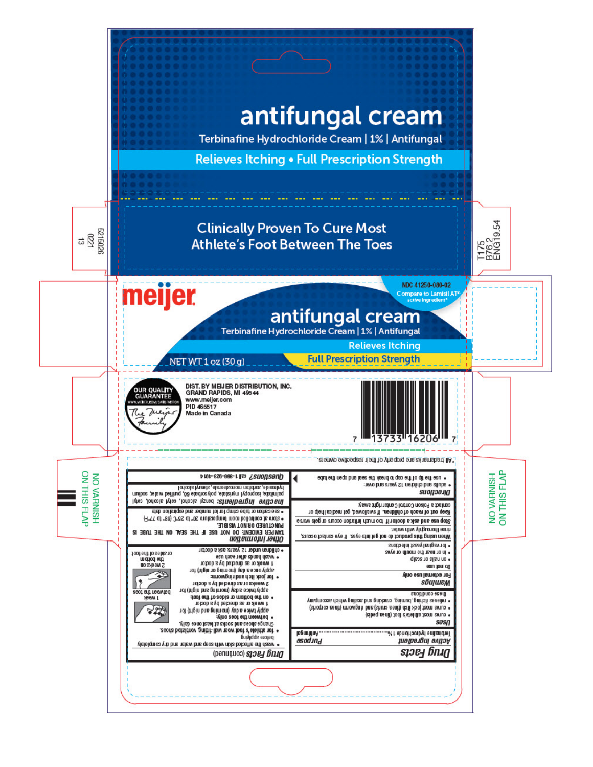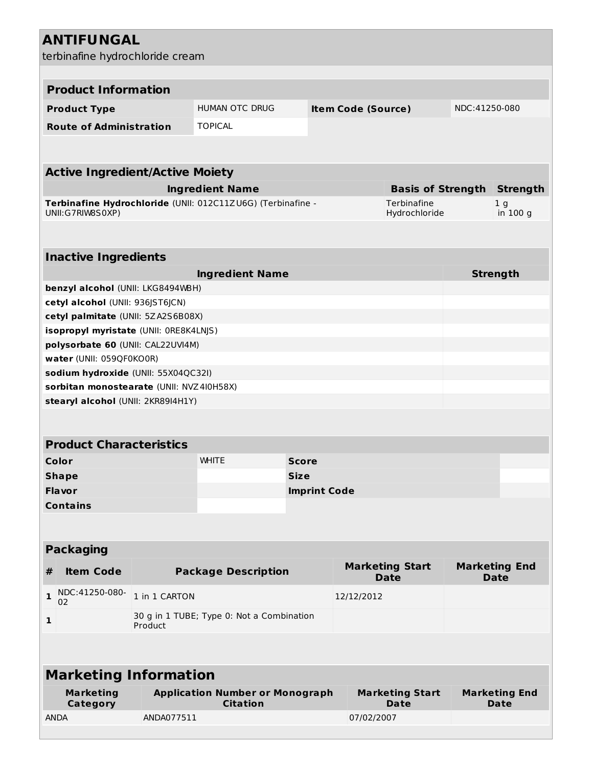## **ANTIFUNGAL** terbinafine hydrochloride cream **Product Information Product Type INDUMAN OTC DRUG Item Code (Source)** NDC:41250-080 **Route of Administration** TOPICAL **Active Ingredient/Active Moiety Ingredient Name Basis of Strength Strength Terbinafine Hydrochloride** (UNII: 012C11ZU6G) (Terbinafine - UNII:G7RIW8S0XP) **Terbinafine** Hydrochloride 1 g in 100 g **Inactive Ingredients Ingredient Name Strength benzyl alcohol** (UNII: LKG8494WBH) **cetyl alcohol** (UNII: 936JST6JCN) **cetyl palmitate** (UNII: 5ZA2S6B08X) **isopropyl myristate** (UNII: 0RE8K4LNJS) **polysorbate 60** (UNII: CAL22UVI4M) **water** (UNII: 059QF0KO0R) **sodium hydroxide** (UNII: 55X04QC32I) **sorbitan monostearate** (UNII: NVZ4I0H58X) **stearyl alcohol** (UNII: 2KR89I4H1Y) **Product Characteristics Color** WHITE **Score Shape Size Flavor Imprint Code Contains Packaging # Item Code Package Description Marketing Start Date Marketing End Date 1** NDC:41250-080- 02 1 in 1 CARTON 12/12/2012 **1** 30 g in 1 TUBE; Type 0: Not a Combination Product

#### **Marketing Information Marketing Category Application Number or Monograph Citation Marketing Start Date Marketing End Date** ANDA ANDA077511 07/02/2007